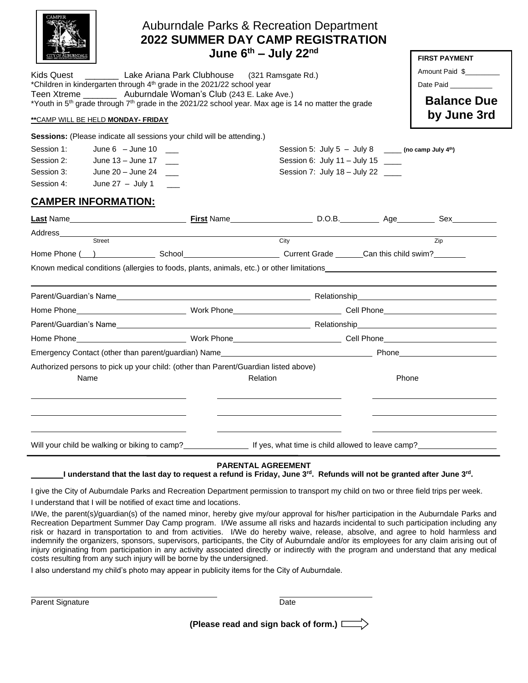| Kids Quest __________ Lake Ariana Park Clubhouse (321 Ramsgate Rd.)<br>*Children in kindergarten through 4 <sup>th</sup> grade in the 2021/22 school year<br>Teen Xtreme __________ Auburndale Woman's Club (243 E. Lake Ave.)<br>*Youth in 5 <sup>th</sup> grade through 7 <sup>th</sup> grade in the 2021/22 school year. Max age is 14 no matter the grade<br>** CAMP WILL BE HELD MONDAY- FRIDAY | <b>Auburndale Parks &amp; Recreation Department</b><br><b>2022 SUMMER DAY CAMP REGISTRATION</b><br>June $6^{th}$ – July 22 <sup>nd</sup> |                                                                                                                                       | <b>FIRST PAYMENT</b><br>Amount Paid \$<br>Date Paid<br><b>Balance Due</b><br>by June 3rd |
|------------------------------------------------------------------------------------------------------------------------------------------------------------------------------------------------------------------------------------------------------------------------------------------------------------------------------------------------------------------------------------------------------|------------------------------------------------------------------------------------------------------------------------------------------|---------------------------------------------------------------------------------------------------------------------------------------|------------------------------------------------------------------------------------------|
| Sessions: (Please indicate all sessions your child will be attending.)<br>June $6 -$ June $10$<br>Session 1:<br>Session 2:<br>June 13 - June 17<br>June $20 -$ June $24$<br>Session 3:<br>Session 4:<br>June 27 $-$ July 1 $-$                                                                                                                                                                       |                                                                                                                                          | Session 5: July 5 - July 8 $\frac{1}{2}$ (no camp July 4th)<br>Session 6: July 11 - July 15 ____<br>Session 7: July 18 - July 22 ____ |                                                                                          |
| <b>CAMPER INFORMATION:</b><br>Known medical conditions (allergies to foods, plants, animals, etc.) or other limitations                                                                                                                                                                                                                                                                              | City                                                                                                                                     |                                                                                                                                       | Zip                                                                                      |
|                                                                                                                                                                                                                                                                                                                                                                                                      |                                                                                                                                          |                                                                                                                                       |                                                                                          |
| Authorized persons to pick up your child: (other than Parent/Guardian listed above)<br>Name                                                                                                                                                                                                                                                                                                          | Relation                                                                                                                                 |                                                                                                                                       | Phone                                                                                    |
| Will your child be walking or biking to camp?<br>I understand that the last day to request a refund is Friday, June 3 <sup>rd</sup> . Refunds will not be granted after June 3 <sup>rd</sup> .                                                                                                                                                                                                       | <b>PARENTAL AGREEMENT</b>                                                                                                                | If yes, what time is child allowed to leave camp?                                                                                     |                                                                                          |

I give the City of Auburndale Parks and Recreation Department permission to transport my child on two or three field trips per week.

I understand that I will be notified of exact time and locations.

I/We, the parent(s)/guardian(s) of the named minor, hereby give my/our approval for his/her participation in the Auburndale Parks and Recreation Department Summer Day Camp program. I/We assume all risks and hazards incidental to such participation including any risk or hazard in transportation to and from activities. I/We do hereby waive, release, absolve, and agree to hold harmless and indemnify the organizers, sponsors, supervisors, participants, the City of Auburndale and/or its employees for any claim arising out of injury originating from participation in any activity associated directly or indirectly with the program and understand that any medical costs resulting from any such injury will be borne by the undersigned.

I also understand my child's photo may appear in publicity items for the City of Auburndale.

Parent Signature Date

**(Please read and sign back of form.)**